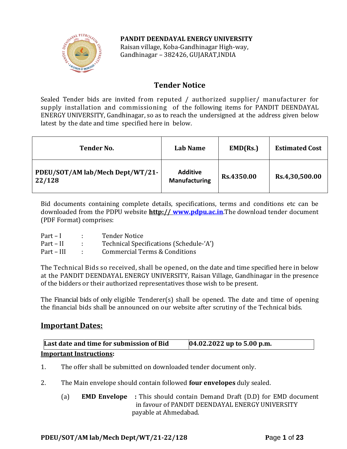# **PANDIT DEENDAYAL ENERGY UNIVERSITY**



Raisan village, Koba-Gandhinagar High-way, Gandhinagar – 382426, GUJARAT,INDIA

# **Tender Notice**

Sealed Tender bids are invited from reputed / authorized supplier/ manufacturer for supply installation and commissioning of the following items for PANDIT DEENDAYAL ENERGY UNIVERSITY, Gandhinagar, so as to reach the undersigned at the address given below latest by the date and time specified here in below.

| <b>Tender No.</b>                          | Lab Name                                | EMD(Rs.)   | <b>Estimated Cost</b> |
|--------------------------------------------|-----------------------------------------|------------|-----------------------|
| PDEU/SOT/AM lab/Mech Dept/WT/21-<br>22/128 | <b>Additive</b><br><b>Manufacturing</b> | Rs.4350.00 | Rs.4,30,500.00        |

Bid documents containing complete details, specifications, terms and conditions etc can be downloaded from the PDPU website **http:// [www.pdpu.ac.in](http://www.pdpu.ac.in/)**.The download tender document (PDF Format) comprises:

| $Part-I$   | <b>Tender Notice</b>                     |
|------------|------------------------------------------|
| Part – II  | Technical Specifications (Schedule-'A')  |
| Part – III | <b>Commercial Terms &amp; Conditions</b> |

The Technical Bids so received, shall be opened, on the date and time specified here in below at the PANDIT DEENDAYAL ENERGY UNIVERSITY, Raisan Village, Gandhinagar in the presence of the bidders or their authorized representatives those wish to be present.

The Financial bids of only eligible Tenderer(s) shall be opened. The date and time of opening the financial bids shall be announced on our website after scrutiny of the Technical bids.

# **Important Dates:**

| Last date and time for submission of Bid | $[04.02.2022$ up to 5.00 p.m. |
|------------------------------------------|-------------------------------|
| <b>Important Instructions:</b>           |                               |

- 1. The offer shall be submitted on downloaded tender document only.
- 2. The Main envelope should contain followed **four envelopes** duly sealed.
	- (a) **EMD Envelope :** This should contain Demand Draft (D.D) for EMD document in favour of PANDIT DEENDAYAL ENERGY UNIVERSITY payable at Ahmedabad.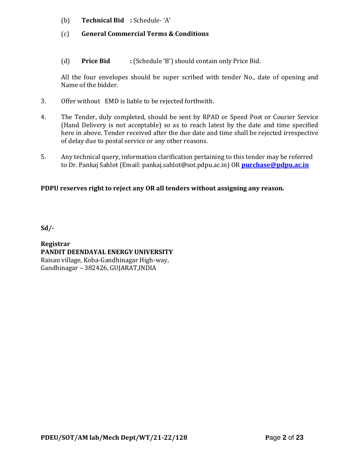- (b) **Technical Bid :** Schedule- 'A'
- (c) **General Commercial Terms & Conditions**
- (d) **Price Bid :** (Schedule 'B') should contain only Price Bid.

All the four envelopes should be super scribed with tender No., date of opening and Name of the bidder.

- 3. Offer without EMD is liable to be rejected forthwith.
- 4. The Tender, duly completed, should be sent by RPAD or Speed Post or Courier Service (Hand Delivery is not acceptable) so as to reach latest by the date and time specified here in above. Tender received after the due date and time shall be rejected irrespective of delay due to postal service or any other reasons.
- 5. Any technical query, information clarification pertaining to this tender may be referred to Dr. Pankaj Sahlot (Email: pankaj.sahlot@sot.pdpu.ac.in) OR **[purchase@pdpu.ac.in](mailto:purchase@pdpu.ac.in)**

# **PDPU reserves right to reject any OR all tenders without assigning any reason.**

**Sd/-**

**Registrar PANDIT DEENDAYAL ENERGY UNIVERSITY** Raisan village, Koba-Gandhinagar High-way, Gandhinagar – 382426, GUJARAT,INDIA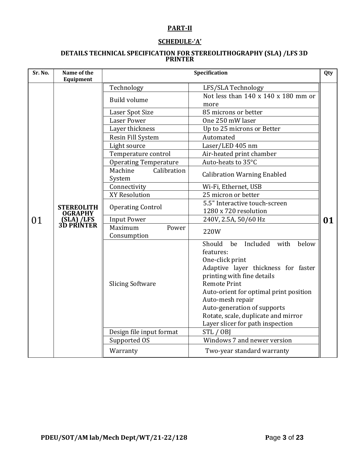# **PART-II**

# **SCHEDULE-'A'**

#### **DETAILS TECHNICAL SPECIFICATION FOR STEREOLITHOGRAPHY (SLA) /LFS 3D PRINTER**

| Sr. No. | Name of the<br>Equipment                                 | Specification<br>Qty             |                                                                                                                                                                                                                                                                                                                                               |    |
|---------|----------------------------------------------------------|----------------------------------|-----------------------------------------------------------------------------------------------------------------------------------------------------------------------------------------------------------------------------------------------------------------------------------------------------------------------------------------------|----|
|         |                                                          | Technology                       | LFS/SLA Technology                                                                                                                                                                                                                                                                                                                            |    |
|         |                                                          | <b>Build volume</b>              | Not less than $140 \times 140 \times 180$ mm or<br>more                                                                                                                                                                                                                                                                                       |    |
|         |                                                          | Laser Spot Size                  | 85 microns or better                                                                                                                                                                                                                                                                                                                          |    |
|         |                                                          | <b>Laser Power</b>               | One 250 mW laser                                                                                                                                                                                                                                                                                                                              |    |
|         |                                                          | Layer thickness                  | Up to 25 microns or Better                                                                                                                                                                                                                                                                                                                    |    |
|         |                                                          | Resin Fill System                | Automated                                                                                                                                                                                                                                                                                                                                     |    |
|         |                                                          | Light source                     | Laser/LED 405 nm                                                                                                                                                                                                                                                                                                                              |    |
|         |                                                          | Temperature control              | Air-heated print chamber                                                                                                                                                                                                                                                                                                                      |    |
|         |                                                          | <b>Operating Temperature</b>     | Auto-heats to 35°C                                                                                                                                                                                                                                                                                                                            |    |
|         |                                                          | Calibration<br>Machine<br>System | <b>Calibration Warning Enabled</b>                                                                                                                                                                                                                                                                                                            |    |
|         |                                                          | Connectivity                     | Wi-Fi, Ethernet, USB                                                                                                                                                                                                                                                                                                                          |    |
|         | <b>STEREOLITH</b><br>OGRAPHY<br>(SLA) /LFS<br>3D PRINTER | XY Resolution                    | 25 micron or better                                                                                                                                                                                                                                                                                                                           |    |
|         |                                                          | <b>Operating Control</b>         | 5.5" Interactive touch-screen<br>1280 x 720 resolution                                                                                                                                                                                                                                                                                        |    |
| 01      |                                                          | <b>Input Power</b>               | 240V, 2.5A, 50/60 Hz                                                                                                                                                                                                                                                                                                                          | 01 |
|         |                                                          | Maximum<br>Power                 | 220W                                                                                                                                                                                                                                                                                                                                          |    |
|         |                                                          | Consumption                      |                                                                                                                                                                                                                                                                                                                                               |    |
|         |                                                          | <b>Slicing Software</b>          | Should<br>be<br>Included<br>with<br>below<br>features:<br>One-click print<br>Adaptive layer thickness for faster<br>printing with fine details<br><b>Remote Print</b><br>Auto-orient for optimal print position<br>Auto-mesh repair<br>Auto-generation of supports<br>Rotate, scale, duplicate and mirror<br>Layer slicer for path inspection |    |
|         |                                                          | Design file input format         | STL / OBJ                                                                                                                                                                                                                                                                                                                                     |    |
|         |                                                          | Supported OS                     | Windows 7 and newer version                                                                                                                                                                                                                                                                                                                   |    |
|         |                                                          | Warranty                         | Two-year standard warranty                                                                                                                                                                                                                                                                                                                    |    |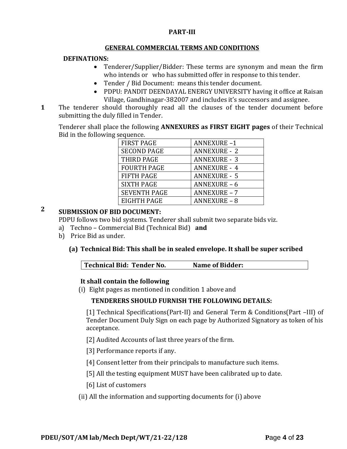#### **PART-III**

#### **GENERAL COMMERCIAL TERMS AND CONDITIONS**

### **DEFINATIONS:**

- Tenderer/Supplier/Bidder: These terms are synonym and mean the firm who intends or who has submitted offer in response to this tender.
- Tender / Bid Document: means this tender document.
- PDPU: PANDIT DEENDAYAL ENERGY UNIVERSITY having it office at Raisan Village, Gandhinagar-382007 and includes it's successors and assignee.
- **1**1. The tenderer should thoroughly read all the clauses of the tender document before submitting the duly filled in Tender.

Tenderer shall place the following **ANNEXURES as FIRST EIGHT pages** of their Technical Bid in the following sequence.

| <b>FIRST PAGE</b>   | <b>ANNEXURE-1</b>   |
|---------------------|---------------------|
| <b>SECOND PAGE</b>  | <b>ANNEXURE - 2</b> |
| THIRD PAGE          | <b>ANNEXURE - 3</b> |
| <b>FOURTH PAGE</b>  | <b>ANNEXURE - 4</b> |
| <b>FIFTH PAGE</b>   | <b>ANNEXURE - 5</b> |
| <b>SIXTH PAGE</b>   | ANNEXURE-6          |
| <b>SEVENTH PAGE</b> | <b>ANNEXURE - 7</b> |
| EIGHTH PAGE         | <b>ANNEXURE - 8</b> |

# **2 SUBMISSION OF BID DOCUMENT:**

PDPU follows two bid systems. Tenderer shall submit two separate bids viz.

- a) Techno Commercial Bid (Technical Bid) **and**
- b) Price Bid as under.

# **(a) Technical Bid: This shall be in sealed envelope. It shall be super scribed**

| Technical Bid: Tender No. | <b>Name of Bidder:</b> |  |
|---------------------------|------------------------|--|
|                           |                        |  |

# **It shall contain the following**

(i) Eight pages as mentioned in condition 1 above and

#### **TENDERERS SHOULD FURNISH THE FOLLOWING DETAILS:**

[1] Technical Specifications(Part-II) and General Term & Conditions(Part –III) of Tender Document Duly Sign on each page by Authorized Signatory as token of his acceptance.

- [2] Audited Accounts of last three years of the firm.
- [3] Performance reports if any.
- [4] Consent letter from their principals to manufacture such items.
- [5] All the testing equipment MUST have been calibrated up to date.
- [6] List of customers
- (ii) All the information and supporting documents for (i) above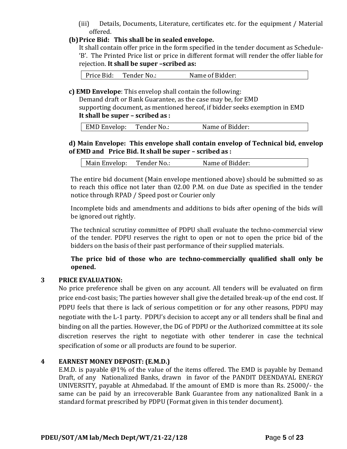(iii) Details, Documents, Literature, certificates etc. for the equipment / Material offered.

# **(b)Price Bid: This shall be in sealed envelope.**

It shall contain offer price in the form specified in the tender document as Schedule- 'B'. The Printed Price list or price in different format will render the offer liable for rejection. **It shall be super –scribed as:**

Price Bid: Tender No.: Name of Bidder:

**c) EMD Envelope**: This envelop shall contain the following:

Demand draft or Bank Guarantee, as the case may be, for EMD supporting document, as mentioned hereof, if bidder seeks exemption in EMD **It shall be super – scribed as :**

| <b>EMD Envelop:</b> | Tender No.: | Name of Bidder: |
|---------------------|-------------|-----------------|
|                     |             |                 |

# **d) Main Envelope: This envelope shall contain envelop of Technical bid, envelop of EMD and Price Bid. It shall be super – scribed as :**

| Tender No.:<br>Main Envelop: | Name of Bidder: |
|------------------------------|-----------------|
|------------------------------|-----------------|

The entire bid document (Main envelope mentioned above) should be submitted so as to reach this office not later than 02.00 P.M. on due Date as specified in the tender notice through RPAD / Speed post or Courier only

Incomplete bids and amendments and additions to bids after opening of the bids will be ignored out rightly.

The technical scrutiny committee of PDPU shall evaluate the techno-commercial view of the tender. PDPU reserves the right to open or not to open the price bid of the bidders on the basis of their past performance of their supplied materials.

**The price bid of those who are techno-commercially qualified shall only be opened.** 

# **3 PRICE EVALUATION:**

No price preference shall be given on any account. All tenders will be evaluated on firm price end-cost basis; The parties however shall give the detailed break-up of the end cost. If PDPU feels that there is lack of serious competition or for any other reasons, PDPU may negotiate with the L-1 party. PDPU's decision to accept any or all tenders shall be final and binding on all the parties. However, the DG of PDPU or the Authorized committee at its sole discretion reserves the right to negotiate with other tenderer in case the technical specification of some or all products are found to be superior.

# **4 EARNEST MONEY DEPOSIT: (E.M.D.)**

E.M.D. is payable @1% of the value of the items offered. The EMD is payable by Demand Draft, of any Nationalized Banks, drawn in favor of the PANDIT DEENDAYAL ENERGY UNIVERSITY, payable at Ahmedabad. If the amount of EMD is more than Rs. 25000/- the same can be paid by an irrecoverable Bank Guarantee from any nationalized Bank in a standard format prescribed by PDPU (Format given in this tender document).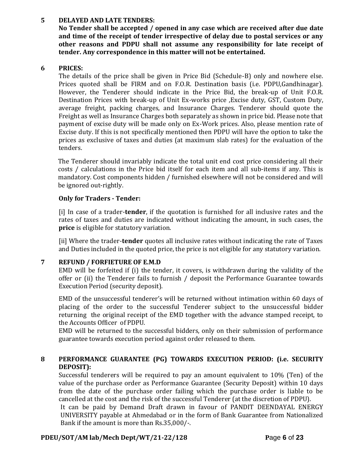# **5 DELAYED AND LATE TENDERS:**

**No Tender shall be accepted / opened in any case which are received after due date and time of the receipt of tender irrespective of delay due to postal services or any other reasons and PDPU shall not assume any responsibility for late receipt of tender. Any correspondence in this matter will not be entertained.**

#### **6 PRICES:**

The details of the price shall be given in Price Bid (Schedule-B) only and nowhere else. Prices quoted shall be FIRM and on F.O.R. Destination basis (i.e. PDPU,Gandhinagar). However, the Tenderer should indicate in the Price Bid, the break-up of Unit F.O.R. Destination Prices with break-up of Unit Ex-works price ,Excise duty, GST, Custom Duty, average freight, packing charges, and Insurance Charges. Tenderer should quote the Freight as well as Insurance Charges both separately as shown in price bid. Please note that payment of excise duty will be made only on Ex-Work prices. Also, please mention rate of Excise duty. If this is not specifically mentioned then PDPU will have the option to take the prices as exclusive of taxes and duties (at maximum slab rates) for the evaluation of the tenders.

The Tenderer should invariably indicate the total unit end cost price considering all their costs / calculations in the Price bid itself for each item and all sub-items if any. This is mandatory. Cost components hidden / furnished elsewhere will not be considered and will be ignored out-rightly.

# **Only for Traders - Tender:**

[i] In case of a trader-**tender**, if the quotation is furnished for all inclusive rates and the rates of taxes and duties are indicated without indicating the amount, in such cases, the **price** is eligible for statutory variation.

[ii] Where the trader-**tender** quotes all inclusive rates without indicating the rate of Taxes and Duties included in the quoted price, the price is not eligible for any statutory variation.

# **7 REFUND / FORFIETURE OF E.M.D**

EMD will be forfeited if (i) the tender, it covers, is withdrawn during the validity of the offer or (ii) the Tenderer fails to furnish / deposit the Performance Guarantee towards Execution Period (security deposit).

EMD of the unsuccessful tenderer's will be returned without intimation within 60 days of placing of the order to the successful Tenderer subject to the unsuccessful bidder returning the original receipt of the EMD together with the advance stamped receipt, to the Accounts Officer of PDPU.

EMD will be returned to the successful bidders, only on their submission of performance guarantee towards execution period against order released to them.

# **8 PERFORMANCE GUARANTEE (PG) TOWARDS EXECUTION PERIOD: (i.e. SECURITY DEPOSIT):**

Successful tenderers will be required to pay an amount equivalent to 10% (Ten) of the value of the purchase order as Performance Guarantee (Security Deposit) within 10 days from the date of the purchase order failing which the purchase order is liable to be cancelled at the cost and the risk of the successful Tenderer (at the discretion of PDPU).

It can be paid by Demand Draft drawn in favour of PANDIT DEENDAYAL ENERGY UNIVERSITY payable at Ahmedabad or in the form of Bank Guarantee from Nationalized Bank if the amount is more than Rs.35,000/-.

# **PDEU/SOT/AM lab/Mech Dept/WT/21-22/128 P**age **6** of **23**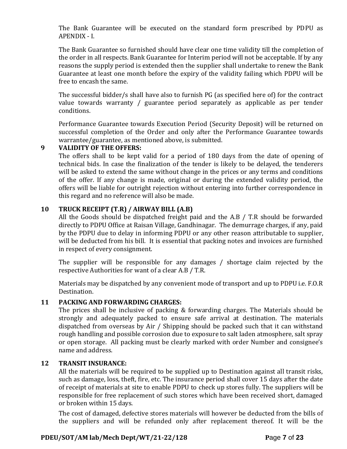The Bank Guarantee will be executed on the standard form prescribed by PDPU as APENDIX - I.

The Bank Guarantee so furnished should have clear one time validity till the completion of the order in all respects. Bank Guarantee for Interim period will not be acceptable. If by any reasons the supply period is extended then the supplier shall undertake to renew the Bank Guarantee at least one month before the expiry of the validity failing which PDPU will be free to encash the same.

The successful bidder/s shall have also to furnish PG (as specified here of) for the contract value towards warranty / guarantee period separately as applicable as per tender conditions.

Performance Guarantee towards Execution Period (Security Deposit) will be returned on successful completion of the Order and only after the Performance Guarantee towards warrantee/guarantee, as mentioned above, is submitted.

# **9 VALIDITY OF THE OFFERS:**

The offers shall to be kept valid for a period of 180 days from the date of opening of technical bids. In case the finalization of the tender is likely to be delayed, the tenderers will be asked to extend the same without change in the prices or any terms and conditions of the offer. If any change is made, original or during the extended validity period, the offers will be liable for outright rejection without entering into further correspondence in this regard and no reference will also be made.

# **10 TRUCK RECEIPT (T.R) / AIRWAY BILL (A.B)**

All the Goods should be dispatched freight paid and the A.B / T.R should be forwarded directly to PDPU Office at Raisan Village, Gandhinagar. The demurrage charges, if any, paid by the PDPU due to delay in informing PDPU or any other reason attributable to supplier, will be deducted from his bill. It is essential that packing notes and invoices are furnished in respect of every consignment.

The supplier will be responsible for any damages / shortage claim rejected by the respective Authorities for want of a clear A.B / T.R.

Materials may be dispatched by any convenient mode of transport and up to PDPU i.e. F.O.R Destination.

# **11 PACKING AND FORWARDING CHARGES:**

The prices shall be inclusive of packing & forwarding charges. The Materials should be strongly and adequately packed to ensure safe arrival at destination. The materials dispatched from overseas by Air / Shipping should be packed such that it can withstand rough handling and possible corrosion due to exposure to salt laden atmosphere, salt spray or open storage. All packing must be clearly marked with order Number and consignee's name and address.

#### **12 TRANSIT INSURANCE:**

All the materials will be required to be supplied up to Destination against all transit risks, such as damage, loss, theft, fire, etc. The insurance period shall cover 15 days after the date of receipt of materials at site to enable PDPU to check up stores fully. The suppliers will be responsible for free replacement of such stores which have been received short, damaged or broken within 15 days.

The cost of damaged, defective stores materials will however be deducted from the bills of the suppliers and will be refunded only after replacement thereof. It will be the

# **PDEU/SOT/AM lab/Mech Dept/WT/21-22/128 P**age **7** of **23**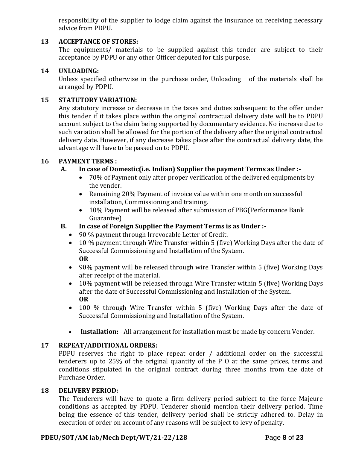responsibility of the supplier to lodge claim against the insurance on receiving necessary advice from PDPU.

### **13 ACCEPTANCE OF STORES:**

The equipments/ materials to be supplied against this tender are subject to their acceptance by PDPU or any other Officer deputed for this purpose.

#### **14 UNLOADING:**

Unless specified otherwise in the purchase order, Unloading of the materials shall be arranged by PDPU.

#### **15 STATUTORY VARIATION:**

Any statutory increase or decrease in the taxes and duties subsequent to the offer under this tender if it takes place within the original contractual delivery date will be to PDPU account subject to the claim being supported by documentary evidence. No increase due to such variation shall be allowed for the portion of the delivery after the original contractual delivery date. However, if any decrease takes place after the contractual delivery date, the advantage will have to be passed on to PDPU.

#### **16 PAYMENT TERMS :**

# **A. In case of Domestic(i.e. Indian) Supplier the payment Terms as Under :-**

- 70% of Payment only after proper verification of the delivered equipments by the vender.
- Remaining 20% Payment of invoice value within one month on successful installation, Commissioning and training.
- 10% Payment will be released after submission of PBG(Performance Bank Guarantee)

### **B. In case of Foreign Supplier the Payment Terms is as Under :-**

- 90 % payment through Irrevocable Letter of Credit.
- 10 % payment through Wire Transfer within 5 (five) Working Days after the date of Successful Commissioning and Installation of the System. **OR**
- 90% payment will be released through wire Transfer within 5 (five) Working Days after receipt of the material.
- 10% payment will be released through Wire Transfer within 5 (five) Working Days after the date of Successful Commissioning and Installation of the System. **OR**
- 100 % through Wire Transfer within 5 (five) Working Days after the date of Successful Commissioning and Installation of the System.
- **Installation:** All arrangement for installation must be made by concern Vender.

#### **17 REPEAT/ADDITIONAL ORDERS:**

PDPU reserves the right to place repeat order / additional order on the successful tenderers up to 25% of the original quantity of the P O at the same prices, terms and conditions stipulated in the original contract during three months from the date of Purchase Order.

#### **18 DELIVERY PERIOD:**

The Tenderers will have to quote a firm delivery period subject to the force Majeure conditions as accepted by PDPU. Tenderer should mention their delivery period. Time being the essence of this tender, delivery period shall be strictly adhered to. Delay in execution of order on account of any reasons will be subject to levy of penalty.

#### **PDEU/SOT/AM lab/Mech Dept/WT/21-22/128 P**age **8** of **23**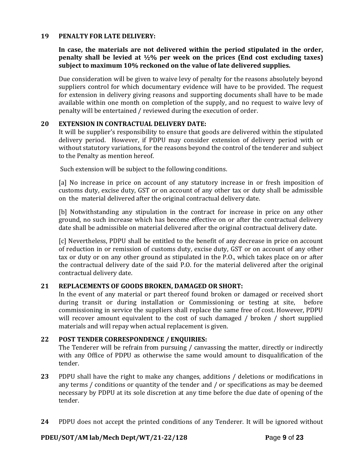#### **19 PENALTY FOR LATE DELIVERY:**

# **In case, the materials are not delivered within the period stipulated in the order, penalty shall be levied at ½% per week on the prices (End cost excluding taxes) subject to maximum 10% reckoned on the value of late delivered supplies.**

Due consideration will be given to waive levy of penalty for the reasons absolutely beyond suppliers control for which documentary evidence will have to be provided. The request for extension in delivery giving reasons and supporting documents shall have to be made available within one month on completion of the supply, and no request to waive levy of penalty will be entertained / reviewed during the execution of order.

#### **20 EXTENSION IN CONTRACTUAL DELIVERY DATE:**

It will be supplier's responsibility to ensure that goods are delivered within the stipulated delivery period. However, if PDPU may consider extension of delivery period with or without statutory variations, for the reasons beyond the control of the tenderer and subject to the Penalty as mention hereof.

Such extension will be subject to the following conditions.

[a] No increase in price on account of any statutory increase in or fresh imposition of customs duty, excise duty, GST or on account of any other tax or duty shall be admissible on the material delivered after the original contractual delivery date.

[b] Notwithstanding any stipulation in the contract for increase in price on any other ground, no such increase which has become effective on or after the contractual delivery date shall be admissible on material delivered after the original contractual delivery date.

[c] Nevertheless, PDPU shall be entitled to the benefit of any decrease in price on account of reduction in or remission of customs duty, excise duty, GST or on account of any other tax or duty or on any other ground as stipulated in the P.O., which takes place on or after the contractual delivery date of the said P.O. for the material delivered after the original contractual delivery date.

#### **21 REPLACEMENTS OF GOODS BROKEN, DAMAGED OR SHORT:**

In the event of any material or part thereof found broken or damaged or received short during transit or during installation or Commissioning or testing at site, before commissioning in service the suppliers shall replace the same free of cost. However, PDPU will recover amount equivalent to the cost of such damaged / broken / short supplied materials and will repay when actual replacement is given.

#### **22 POST TENDER CORRESPONDENCE / ENQUIRIES:**

The Tenderer will be refrain from pursuing / canvassing the matter, directly or indirectly with any Office of PDPU as otherwise the same would amount to disqualification of the tender.

- **23** PDPU shall have the right to make any changes, additions / deletions or modifications in any terms / conditions or quantity of the tender and / or specifications as may be deemed necessary by PDPU at its sole discretion at any time before the due date of opening of the tender.
- **24** PDPU does not accept the printed conditions of any Tenderer. It will be ignored without

#### **PDEU/SOT/AM lab/Mech Dept/WT/21-22/128 P**age **9** of **23**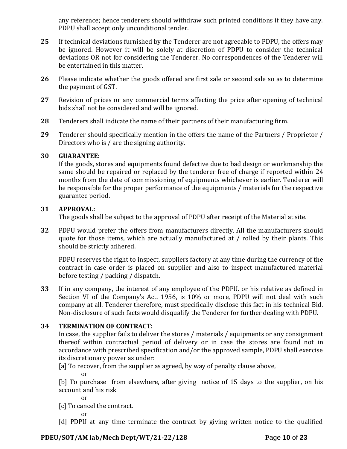any reference; hence tenderers should withdraw such printed conditions if they have any. PDPU shall accept only unconditional tender.

- **25** If technical deviations furnished by the Tenderer are not agreeable to PDPU, the offers may be ignored. However it will be solely at discretion of PDPU to consider the technical deviations OR not for considering the Tenderer. No correspondences of the Tenderer will be entertained in this matter.
- **26** Please indicate whether the goods offered are first sale or second sale so as to determine the payment of GST.
- **27** Revision of prices or any commercial terms affecting the price after opening of technical bids shall not be considered and will be ignored.
- **28** Tenderers shall indicate the name of their partners of their manufacturing firm.
- **29** Tenderer should specifically mention in the offers the name of the Partners / Proprietor / Directors who is / are the signing authority.

# **30 GUARANTEE:**

If the goods, stores and equipments found defective due to bad design or workmanship the same should be repaired or replaced by the tenderer free of charge if reported within 24 months from the date of commissioning of equipments whichever is earlier. Tenderer will be responsible for the proper performance of the equipments / materials for the respective guarantee period.

# **31 APPROVAL:**

The goods shall be subject to the approval of PDPU after receipt of the Material at site.

**32** PDPU would prefer the offers from manufacturers directly. All the manufacturers should quote for those items, which are actually manufactured at / rolled by their plants. This should be strictly adhered.

PDPU reserves the right to inspect, suppliers factory at any time during the currency of the contract in case order is placed on supplier and also to inspect manufactured material before testing / packing / dispatch.

**33** If in any company, the interest of any employee of the PDPU. or his relative as defined in Section VI of the Company's Act. 1956, is 10% or more, PDPU will not deal with such company at all. Tenderer therefore, must specifically disclose this fact in his technical Bid. Non-disclosure of such facts would disqualify the Tenderer for further dealing with PDPU.

# **34 TERMINATION OF CONTRACT:**

In case, the supplier fails to deliver the stores / materials / equipments or any consignment thereof within contractual period of delivery or in case the stores are found not in accordance with prescribed specification and/or the approved sample, PDPU shall exercise its discretionary power as under:

[a] To recover, from the supplier as agreed, by way of penalty clause above,

or

[b] To purchase from elsewhere, after giving notice of 15 days to the supplier, on his account and his risk

or

[c] To cancel the contract.

or

[d] PDPU at any time terminate the contract by giving written notice to the qualified

# **PDEU/SOT/AM lab/Mech Dept/WT/21-22/128 P**age **10** of **23**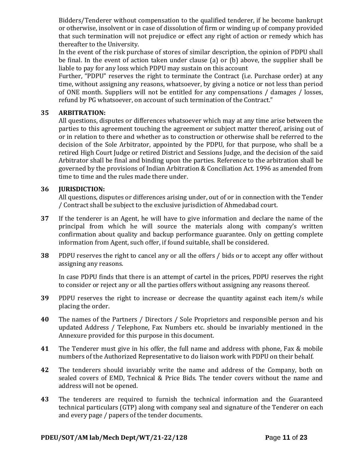Bidders/Tenderer without compensation to the qualified tenderer, if he become bankrupt or otherwise, insolvent or in case of dissolution of firm or winding up of company provided that such termination will not prejudice or effect any right of action or remedy which has thereafter to the University.

In the event of the risk purchase of stores of similar description, the opinion of PDPU shall be final. In the event of action taken under clause (a) or (b) above, the supplier shall be liable to pay for any loss which PDPU may sustain on this account

Further, "PDPU" reserves the right to terminate the Contract (i.e. Purchase order) at any time, without assigning any reasons, whatsoever, by giving a notice or not less than period of ONE month. Suppliers will not be entitled for any compensations / damages / losses, refund by PG whatsoever, on account of such termination of the Contract."

#### **35 ARBITRATION:**

All questions, disputes or differences whatsoever which may at any time arise between the parties to this agreement touching the agreement or subject matter thereof, arising out of or in relation to there and whether as to construction or otherwise shall be referred to the decision of the Sole Arbitrator, appointed by the PDPU, for that purpose, who shall be a retired High Court Judge or retired District and Sessions Judge, and the decision of the said Arbitrator shall be final and binding upon the parties. Reference to the arbitration shall be governed by the provisions of Indian Arbitration & Conciliation Act. 1996 as amended from time to time and the rules made there under.

# **36 JURISDICTION:**

All questions, disputes or differences arising under, out of or in connection with the Tender / Contract shall be subject to the exclusive jurisdiction of Ahmedabad court.

- **37** If the tenderer is an Agent, he will have to give information and declare the name of the principal from which he will source the materials along with company's written confirmation about quality and backup performance guarantee. Only on getting complete information from Agent, such offer, if found suitable, shall be considered.
- **38** PDPU reserves the right to cancel any or all the offers / bids or to accept any offer without assigning any reasons.

In case PDPU finds that there is an attempt of cartel in the prices, PDPU reserves the right to consider or reject any or all the parties offers without assigning any reasons thereof.

- **39** PDPU reserves the right to increase or decrease the quantity against each item/s while placing the order.
- **40** The names of the Partners / Directors / Sole Proprietors and responsible person and his updated Address / Telephone, Fax Numbers etc. should be invariably mentioned in the Annexure provided for this purpose in this document.
- **41** The Tenderer must give in his offer, the full name and address with phone, Fax & mobile numbers of the Authorized Representative to do liaison work with PDPU on their behalf.
- **42** The tenderers should invariably write the name and address of the Company, both on sealed covers of EMD, Technical & Price Bids. The tender covers without the name and address will not be opened.
- **43** The tenderers are required to furnish the technical information and the Guaranteed technical particulars (GTP) along with company seal and signature of the Tenderer on each and every page / papers of the tender documents.

#### **PDEU/SOT/AM lab/Mech Dept/WT/21-22/128 P**age **11** of **23**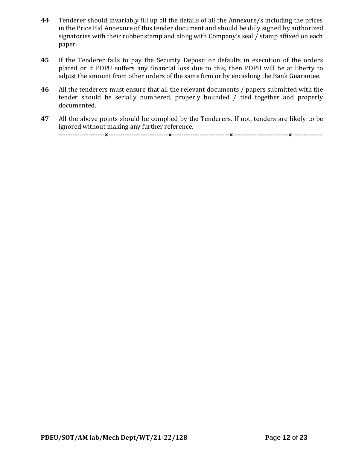- **44** Tenderer should invariably fill up all the details of all the Annexure/s including the prices in the Price Bid Annexure of this tender document and should be duly signed by authorized signatories with their rubber stamp and along with Company's seal / stamp affixed on each paper.
- **45** If the Tenderer fails to pay the Security Deposit or defaults in execution of the orders placed or if PDPU suffers any financial loss due to this, then PDPU will be at liberty to adjust the amount from other orders of the same firm or by encashing the Bank Guarantee.
- **46** All the tenderers must ensure that all the relevant documents / papers submitted with the tender should be serially numbered, properly bounded / tied together and properly documented.
- **47** All the above points should be complied by the Tenderers. If not, tenders are likely to be ignored without making any further reference. **--------------------×--------------------------×-------------------------×------------------------×-------------**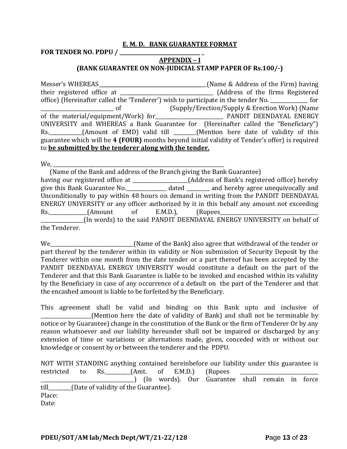#### **E. M. D. BANK GUARANTEE FORMAT**

**FOR TENDER NO. PDPU / \_\_\_\_\_\_\_\_\_\_\_\_\_\_\_\_\_\_\_\_\_\_\_\_\_\_\_\_\_\_\_\_ \_**

### **APPENDIX – I (BANK GUARANTEE ON NON-JUDICIAL STAMP PAPER OF Rs.100/-)**

Messer's WHEREAS \_\_\_\_\_\_\_\_\_\_\_\_\_\_\_\_\_\_\_\_\_\_\_\_\_\_\_\_\_\_\_\_\_\_\_\_\_\_\_\_\_\_(Name & Address of the Firm) having their registered office at \_\_\_\_\_\_\_\_\_\_\_\_\_\_\_\_\_\_\_\_\_\_\_\_\_\_\_\_\_\_\_\_\_\_\_\_\_ (Address of the firms Registered office) (Hereinafter called the 'Tenderer') wish to participate in the tender No. \_\_\_\_\_\_\_\_\_\_\_\_\_\_\_ for \_\_\_\_\_\_\_\_\_\_\_\_\_\_\_\_\_\_\_\_\_\_\_\_\_\_\_\_\_ of (Supply/Erection/Supply & Erection Work) (Name of the material/equipment/Work) for\_\_\_\_\_\_\_\_\_\_\_\_\_\_\_\_\_\_\_\_\_\_\_\_\_\_\_ PANDIT DEENDAYAL ENERGY UNIVERSITY and WHEREAS a Bank Guarantee for (Hereinafter called the "Beneficiary") Rs. \_\_\_\_\_\_\_\_\_\_(Amount of EMD) valid till \_\_\_\_\_\_(Mention here date of validity of this guarantee which will be **4 (FOUR)** months beyond initial validity of Tender's offer) is required to **be submitted by the tenderer along with the tender.**

We,

 (Name of the Bank and address of the Branch giving the Bank Guarantee) having our registered office at \_\_\_\_\_\_\_\_\_\_\_\_\_\_\_\_\_\_\_(Address of Bank's registered office) hereby give this Bank Guarantee No.\_\_\_\_\_\_\_\_\_\_\_\_\_\_\_\_ dated \_\_\_\_\_\_\_\_\_ and hereby agree unequivocally and Unconditionally to pay within 48 hours on demand in writing from the PANDIT DEENDAYAL ENERGY UNIVERSITY or any officer authorized by it in this behalf any amount not exceeding Rs.\_\_\_\_\_\_\_\_\_\_\_\_\_\_\_(Amount of E.M.D.), (Rupees\_\_\_\_\_\_\_\_\_\_\_\_\_\_\_\_\_\_\_\_\_\_\_\_\_\_\_\_\_\_\_\_\_\_\_\_\_\_\_ \_\_\_\_\_\_\_\_\_\_\_\_\_\_\_\_\_(In words) to the said PANDIT DEENDAYAL ENERGY UNIVERSITY on behalf of the Tenderer.

We \_\_\_\_\_\_\_\_\_\_\_\_\_\_\_\_\_\_\_\_\_\_\_\_(Name of the Bank) also agree that withdrawal of the tender or part thereof by the tenderer within its validity or Non submission of Security Deposit by the Tenderer within one month from the date tender or a part thereof has been accepted by the PANDIT DEENDAYAL ENERGY UNIVERSITY would constitute a default on the part of the Tenderer and that this Bank Guarantee is liable to be invoked and encashed within its validity by the Beneficiary in case of any occurrence of a default on the part of the Tenderer and that the encashed amount is liable to be forfeited by the Beneficiary.

This agreement shall be valid and binding on this Bank upto and inclusive of (Mention here the date of validity of Bank) and shall not be terminable by notice or by Guarantee) change in the constitution of the Bank or the firm of Tenderer Or by any reason whatsoever and our liability hereunder shall not be impaired or discharged by any extension of time or variations or alternations made, given, conceded with or without our knowledge or consent by or between the tenderer and the PDPU.

NOT WITH STANDING anything contained hereinbefore our liability under this guarantee is restricted to Rs. \_\_\_\_\_\_\_\_(Amt. of E.M.D.) (Rupees \_\_\_\_\_\_\_\_\_\_\_\_\_\_\_\_\_\_\_\_\_\_\_\_\_\_\_\_\_\_\_\_\_\_\_\_\_) (In words). Our Guarantee shall remain in force till\_\_\_\_\_\_\_\_\_(Date of validity of the Guarantee). Place: Date: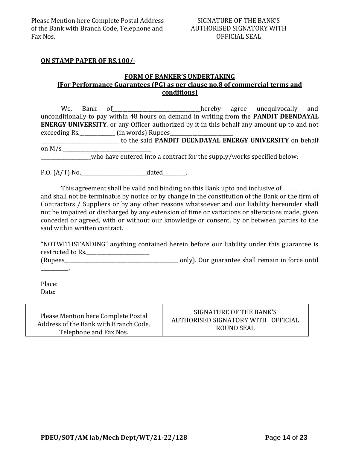#### SIGNATURE OF THE BANK'S AUTHORISED SIGNATORY WITH OFFICIAL SEAL

#### **ON STAMP PAPER OF RS.100/-**

#### **FORM OF BANKER'S UNDERTAKING [For Performance Guarantees (PG) as per clause no.8 of commercial terms and conditions]**

We, Bank of **EXECUTE:** Mereby agree unequivocally and unconditionally to pay within 48 hours on demand in writing from the **PANDIT DEENDAYAL ENERGY UNIVERSITY**. or any Officer authorized by it in this behalf any amount up to and not exceeding Rs.\_\_\_\_\_\_\_\_\_\_\_\_\_\_\_\_\_\_\_ (in words) Rupees\_ \_\_\_\_\_\_\_\_\_\_\_\_\_\_\_\_\_\_\_\_\_\_\_\_\_\_\_\_\_\_\_ to the said **PANDIT DEENDAYAL ENERGY UNIVERSITY** on behalf on  $M/s$ .

who have entered into a contract for the supply/works specified below:

P.O. (A/T) No.\_\_\_\_\_\_\_\_\_\_\_\_\_\_\_\_\_\_\_\_\_\_\_\_\_\_dated\_\_\_\_\_\_\_\_\_.

This agreement shall be valid and binding on this Bank upto and inclusive of and shall not be terminable by notice or by change in the constitution of the Bank or the firm of Contractors / Suppliers or by any other reasons whatsoever and our liability hereunder shall not be impaired or discharged by any extension of time or variations or alterations made, given conceded or agreed, with or without our knowledge or consent, by or between parties to the said within written contract.

"NOTWITHSTANDING" anything contained herein before our liability under this guarantee is restricted to Rs.\_\_\_\_\_\_\_\_\_\_\_\_\_\_\_\_\_\_\_\_\_\_\_\_\_ (Rupees\_\_\_\_\_\_\_\_\_\_\_\_\_\_\_\_\_\_\_\_\_\_\_\_\_\_\_\_\_\_\_\_\_\_\_\_\_\_\_\_\_\_\_\_\_ only). Our guarantee shall remain in force until

Place: Date:

\_\_\_\_\_\_\_\_\_\_\_.

| Please Mention here Complete Postal   | SIGNATURE OF THE BANK'S            |
|---------------------------------------|------------------------------------|
| Address of the Bank with Branch Code, | AUTHORISED SIGNATORY WITH OFFICIAL |
| Telephone and Fax Nos.                | ROUND SEAL                         |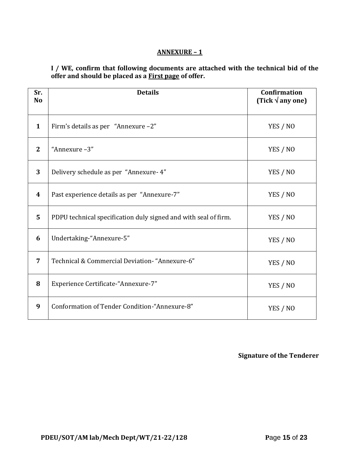# **ANNEXURE – 1**

**I / WE, confirm that following documents are attached with the technical bid of the offer and should be placed as a First page of offer.**

| Sr.<br><b>No</b> | <b>Details</b>                                                  | <b>Confirmation</b><br>(Tick $\sqrt{$ any one) |
|------------------|-----------------------------------------------------------------|------------------------------------------------|
| $\mathbf{1}$     | Firm's details as per "Annexure -2"                             | YES / NO                                       |
| $\overline{2}$   | "Annexure-3"                                                    | YES / NO                                       |
| 3                | Delivery schedule as per "Annexure- 4"                          | YES / NO                                       |
| 4                | Past experience details as per "Annexure-7"                     | YES / NO                                       |
| 5                | PDPU technical specification duly signed and with seal of firm. | YES / NO                                       |
| 6                | Undertaking-"Annexure-5"                                        | YES / NO                                       |
| 7                | Technical & Commercial Deviation- "Annexure-6"                  | YES / NO                                       |
| 8                | Experience Certificate-"Annexure-7"                             | YES / NO                                       |
| 9                | Conformation of Tender Condition-"Annexure-8"                   | YES / NO                                       |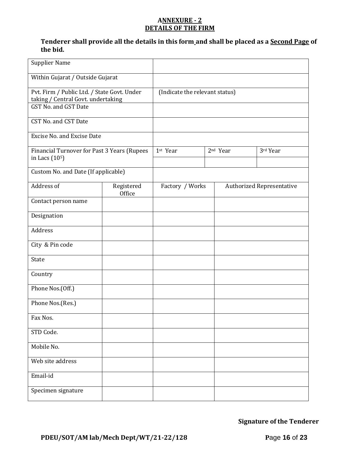#### **ANNEXURE - 2 DETAILS OF THE FIRM**

# **Tenderer shall provide all the details in this form and shall be placed as a Second Page of the bid.**

| <b>Supplier Name</b>                                                                                      |                      |                                |  |                      |                                  |
|-----------------------------------------------------------------------------------------------------------|----------------------|--------------------------------|--|----------------------|----------------------------------|
| Within Gujarat / Outside Gujarat                                                                          |                      |                                |  |                      |                                  |
| Pvt. Firm / Public Ltd. / State Govt. Under<br>taking / Central Govt. undertaking<br>GST No. and GST Date |                      | (Indicate the relevant status) |  |                      |                                  |
| CST No. and CST Date                                                                                      |                      |                                |  |                      |                                  |
| <b>Excise No. and Excise Date</b>                                                                         |                      |                                |  |                      |                                  |
| Financial Turnover for Past 3 Years (Rupees<br>in Lacs (10 <sup>5</sup> )                                 |                      | 1st Year                       |  | 2 <sup>nd</sup> Year | 3rd Year                         |
| Custom No. and Date (If applicable)                                                                       |                      |                                |  |                      |                                  |
| Address of                                                                                                | Registered<br>Office | Factory / Works                |  |                      | <b>Authorized Representative</b> |
| Contact person name                                                                                       |                      |                                |  |                      |                                  |
| Designation                                                                                               |                      |                                |  |                      |                                  |
| Address                                                                                                   |                      |                                |  |                      |                                  |
| City & Pin code                                                                                           |                      |                                |  |                      |                                  |
| State                                                                                                     |                      |                                |  |                      |                                  |
| Country                                                                                                   |                      |                                |  |                      |                                  |
| Phone Nos.(Off.)                                                                                          |                      |                                |  |                      |                                  |
| Phone Nos.(Res.)                                                                                          |                      |                                |  |                      |                                  |
| Fax Nos.                                                                                                  |                      |                                |  |                      |                                  |
| STD Code.                                                                                                 |                      |                                |  |                      |                                  |
| Mobile No.                                                                                                |                      |                                |  |                      |                                  |
| Web site address                                                                                          |                      |                                |  |                      |                                  |
| Email-id                                                                                                  |                      |                                |  |                      |                                  |
| Specimen signature                                                                                        |                      |                                |  |                      |                                  |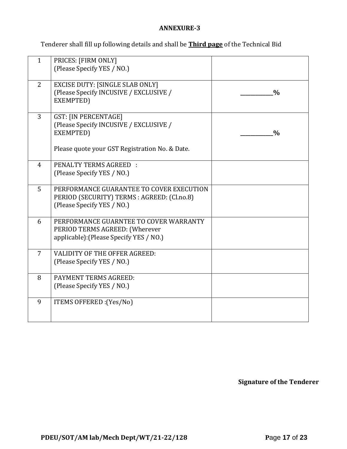# **ANNEXURE-3**

Tenderer shall fill up following details and shall be **Third page** of the Technical Bid

| $\mathbf{1}$   | PRICES: [FIRM ONLY]<br>(Please Specify YES / NO.)                                                                                    |               |
|----------------|--------------------------------------------------------------------------------------------------------------------------------------|---------------|
| 2              | <b>EXCISE DUTY: [SINGLE SLAB ONLY]</b><br>(Please Specify INCUSIVE / EXCLUSIVE /<br>EXEMPTED)                                        | $\frac{0}{0}$ |
| 3              | <b>GST: [IN PERCENTAGE]</b><br>(Please Specify INCUSIVE / EXCLUSIVE /<br>EXEMPTED)<br>Please quote your GST Registration No. & Date. | $\frac{0}{0}$ |
| $\overline{4}$ | <b>PENALTY TERMS AGREED:</b><br>(Please Specify YES / NO.)                                                                           |               |
| 5              | PERFORMANCE GUARANTEE TO COVER EXECUTION<br>PERIOD (SECURITY) TERMS : AGREED: (Cl.no.8)<br>(Please Specify YES / NO.)                |               |
| 6              | PERFORMANCE GUARNTEE TO COVER WARRANTY<br>PERIOD TERMS AGREED: (Wherever<br>applicable): (Please Specify YES / NO.)                  |               |
| 7              | VALIDITY OF THE OFFER AGREED:<br>(Please Specify YES / NO.)                                                                          |               |
| 8              | PAYMENT TERMS AGREED:<br>(Please Specify YES / NO.)                                                                                  |               |
| 9              | ITEMS OFFERED : (Yes/No)                                                                                                             |               |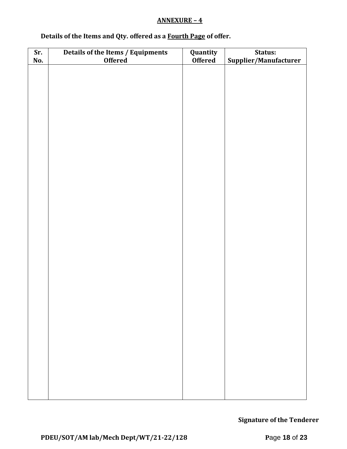# **ANNEXURE – 4**

# **Details of the Items and Qty. offered as a Fourth Page of offer.**

| Sr. | Details of the Items / Equipments | Quantity       | Status:               |  |  |  |
|-----|-----------------------------------|----------------|-----------------------|--|--|--|
| No. | <b>Offered</b>                    | <b>Offered</b> | Supplier/Manufacturer |  |  |  |
|     |                                   |                |                       |  |  |  |
|     |                                   |                |                       |  |  |  |
|     |                                   |                |                       |  |  |  |
|     |                                   |                |                       |  |  |  |
|     |                                   |                |                       |  |  |  |
|     |                                   |                |                       |  |  |  |
|     |                                   |                |                       |  |  |  |
|     |                                   |                |                       |  |  |  |
|     |                                   |                |                       |  |  |  |
|     |                                   |                |                       |  |  |  |
|     |                                   |                |                       |  |  |  |
|     |                                   |                |                       |  |  |  |
|     |                                   |                |                       |  |  |  |
|     |                                   |                |                       |  |  |  |
|     |                                   |                |                       |  |  |  |
|     |                                   |                |                       |  |  |  |
|     |                                   |                |                       |  |  |  |
|     |                                   |                |                       |  |  |  |
|     |                                   |                |                       |  |  |  |
|     |                                   |                |                       |  |  |  |
|     |                                   |                |                       |  |  |  |
|     |                                   |                |                       |  |  |  |
|     |                                   |                |                       |  |  |  |
|     |                                   |                |                       |  |  |  |
|     |                                   |                |                       |  |  |  |
|     |                                   |                |                       |  |  |  |
|     |                                   |                |                       |  |  |  |
|     |                                   |                |                       |  |  |  |
|     |                                   |                |                       |  |  |  |
|     |                                   |                |                       |  |  |  |
|     |                                   |                |                       |  |  |  |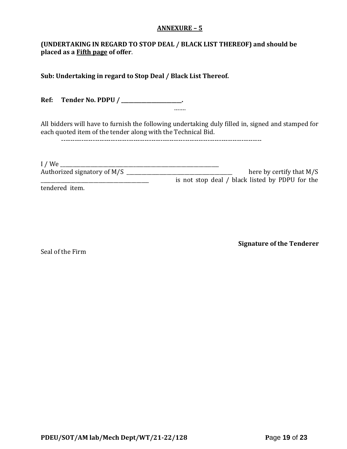#### **ANNEXURE – 5**

# **(UNDERTAKING IN REGARD TO STOP DEAL / BLACK LIST THEREOF) and should be placed as a Fifth page of offer**.

**Sub: Undertaking in regard to Stop Deal / Black List Thereof.**

**Ref: Tender No. PDPU / \_\_\_\_\_\_\_\_\_\_\_\_\_\_\_\_\_\_\_\_\_\_\_\_.** …….

All bidders will have to furnish the following undertaking duly filled in, signed and stamped for each quoted item of the tender along with the Technical Bid.

-----------------------------------------------------------------------------------------

| I/We                        |                                                 |
|-----------------------------|-------------------------------------------------|
| Authorized signatory of M/S | here by certify that $M/S$                      |
|                             | is not stop deal / black listed by PDPU for the |
| tendered item.              |                                                 |

Seal of the Firm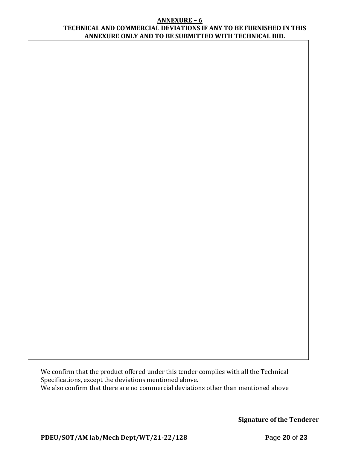#### **ANNEXURE – 6 TECHNICAL AND COMMERCIAL DEVIATIONS IF ANY TO BE FURNISHED IN THIS ANNEXURE ONLY AND TO BE SUBMITTED WITH TECHNICAL BID.**

We confirm that the product offered under this tender complies with all the Technical Specifications, except the deviations mentioned above. We also confirm that there are no commercial deviations other than mentioned above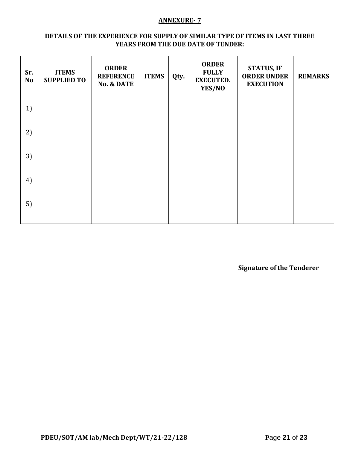#### **ANNEXURE- 7**

#### **DETAILS OF THE EXPERIENCE FOR SUPPLY OF SIMILAR TYPE OF ITEMS IN LAST THREE YEARS FROM THE DUE DATE OF TENDER:**

| Sr.<br><b>No</b> | <b>ITEMS</b><br><b>SUPPLIED TO</b> | <b>ORDER</b><br><b>REFERENCE</b><br><b>No. &amp; DATE</b> | <b>ITEMS</b> | Qty. | <b>ORDER</b><br><b>FULLY</b><br><b>EXECUTED.</b><br>YES/NO | <b>STATUS, IF</b><br><b>ORDER UNDER</b><br><b>EXECUTION</b> | <b>REMARKS</b> |
|------------------|------------------------------------|-----------------------------------------------------------|--------------|------|------------------------------------------------------------|-------------------------------------------------------------|----------------|
| 1)               |                                    |                                                           |              |      |                                                            |                                                             |                |
| 2)               |                                    |                                                           |              |      |                                                            |                                                             |                |
| 3)               |                                    |                                                           |              |      |                                                            |                                                             |                |
| 4)               |                                    |                                                           |              |      |                                                            |                                                             |                |
| 5)               |                                    |                                                           |              |      |                                                            |                                                             |                |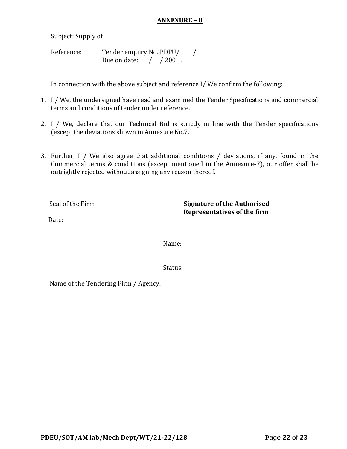# **ANNEXURE – 8**

Subject: Supply of \_\_\_\_\_\_\_\_\_\_\_\_\_\_\_\_\_\_\_\_\_\_\_\_\_\_\_\_\_\_\_\_\_\_\_\_\_\_

Reference: Tender enquiry No. PDPU/ / Due on date: / / 200.

In connection with the above subject and reference I/ We confirm the following:

- 1. I / We, the undersigned have read and examined the Tender Specifications and commercial terms and conditions of tender under reference.
- 2. I / We, declare that our Technical Bid is strictly in line with the Tender specifications (except the deviations shown in Annexure No.7.
- 3. Further, I / We also agree that additional conditions / deviations, if any, found in the Commercial terms & conditions (except mentioned in the Annexure-7), our offer shall be outrightly rejected without assigning any reason thereof.

Seal of the Firm **Signature of the Authorised Representatives of the firm**

Date:

Name:

Status:

Name of the Tendering Firm / Agency: